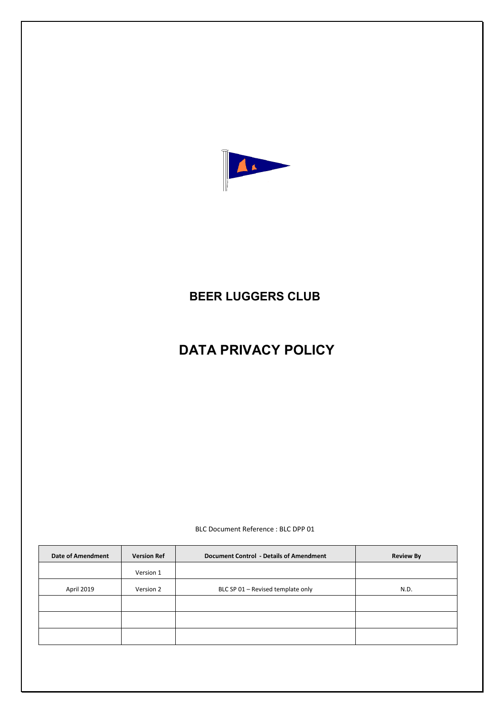

# **BEER LUGGERS CLUB**

# **DATA PRIVACY POLICY**

BLC Document Reference : BLC DPP 01

| <b>Date of Amendment</b> | <b>Version Ref</b> | Document Control - Details of Amendment | <b>Review By</b> |
|--------------------------|--------------------|-----------------------------------------|------------------|
|                          | Version 1          |                                         |                  |
| April 2019               | Version 2          | BLC SP 01 - Revised template only       | N.D.             |
|                          |                    |                                         |                  |
|                          |                    |                                         |                  |
|                          |                    |                                         |                  |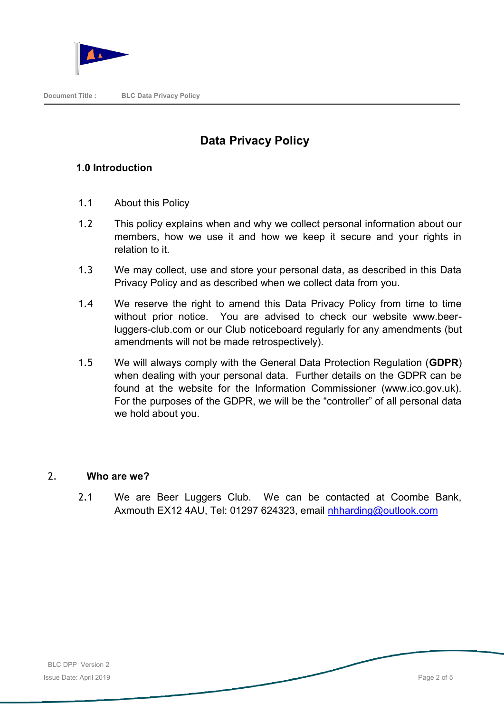

# **Data Privacy Policy**

## **1.0 Introduction**

- 1.1 About this Policy
- 1.2 This policy explains when and why we collect personal information about our members, how we use it and how we keep it secure and your rights in relation to it.
- 1.3 We may collect, use and store your personal data, as described in this Data Privacy Policy and as described when we collect data from you.
- 1.4 We reserve the right to amend this Data Privacy Policy from time to time without prior notice. You are advised to check our website www.beerluggers-club.com or our Club noticeboard regularly for any amendments (but amendments will not be made retrospectively).
- 1.5 We will always comply with the General Data Protection Regulation (**GDPR**) when dealing with your personal data. Further details on the GDPR can be found at the website for the Information Commissioner (www.ico.gov.uk). For the purposes of the GDPR, we will be the "controller" of all personal data we hold about you.

### 2. **Who are we?**

2.1 We are Beer Luggers Club. We can be contacted at Coombe Bank, Axmouth EX12 4AU, Tel: 01297 624323, email [nhharding@outlook.com](mailto:nhharding@outlook.com)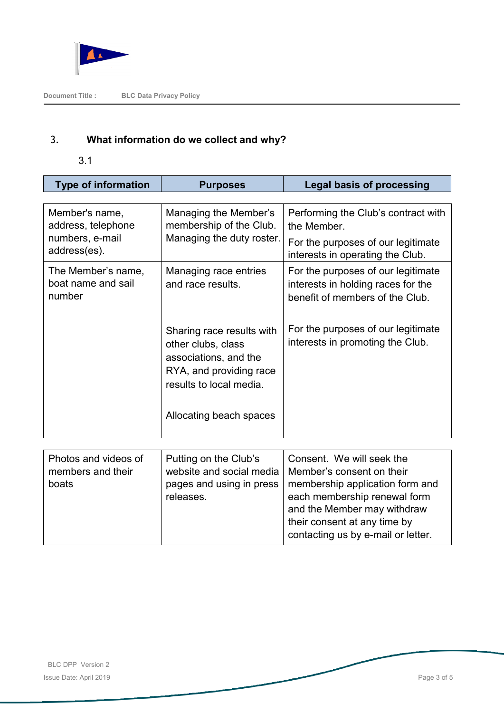

# 3. **What information do we collect and why?**

3.1

| <b>Type of information</b>                                              | <b>Purposes</b>                                                                                                                                           | <b>Legal basis of processing</b>                                                                                             |
|-------------------------------------------------------------------------|-----------------------------------------------------------------------------------------------------------------------------------------------------------|------------------------------------------------------------------------------------------------------------------------------|
|                                                                         |                                                                                                                                                           |                                                                                                                              |
| Member's name,<br>address, telephone<br>numbers, e-mail<br>address(es). | Managing the Member's<br>membership of the Club.<br>Managing the duty roster.                                                                             | Performing the Club's contract with<br>the Member.<br>For the purposes of our legitimate<br>interests in operating the Club. |
| The Member's name,<br>boat name and sail<br>number                      | Managing race entries<br>and race results.                                                                                                                | For the purposes of our legitimate<br>interests in holding races for the<br>benefit of members of the Club.                  |
|                                                                         | Sharing race results with<br>other clubs, class<br>associations, and the<br>RYA, and providing race<br>results to local media.<br>Allocating beach spaces | For the purposes of our legitimate<br>interests in promoting the Club.                                                       |
|                                                                         |                                                                                                                                                           |                                                                                                                              |
| Photos and videos of<br>members and their<br>boats                      | Putting on the Club's<br>website and social media<br>pages and using in press<br>releases.                                                                | Consent. We will seek the<br>Member's consent on their<br>membership application form and<br>each membership renewal form    |

and the Member may withdraw their consent at any time by contacting us by e-mail or letter.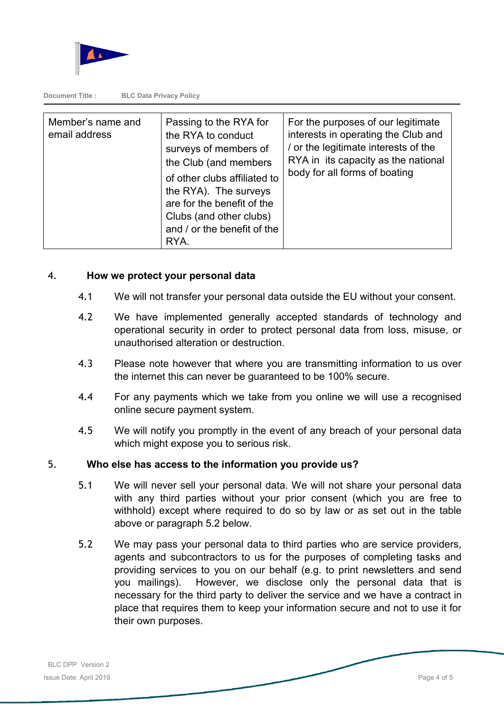

**Document Title : BLC Data Privacy Policy**

| Member's name and<br>email address | Passing to the RYA for<br>the RYA to conduct<br>surveys of members of<br>the Club (and members<br>of other clubs affiliated to<br>the RYA). The surveys<br>are for the benefit of the | For the purposes of our legitimate<br>interests in operating the Club and<br>/ or the legitimate interests of the<br>RYA in its capacity as the national<br>body for all forms of boating |
|------------------------------------|---------------------------------------------------------------------------------------------------------------------------------------------------------------------------------------|-------------------------------------------------------------------------------------------------------------------------------------------------------------------------------------------|
|                                    | Clubs (and other clubs)<br>and / or the benefit of the<br>RYA.                                                                                                                        |                                                                                                                                                                                           |

#### 4. **How we protect your personal data**

- 4.1 We will not transfer your personal data outside the EU without your consent.
- 4.2 We have implemented generally accepted standards of technology and operational security in order to protect personal data from loss, misuse, or unauthorised alteration or destruction.
- 4.3 Please note however that where you are transmitting information to us over the internet this can never be guaranteed to be 100% secure.
- 4.4 For any payments which we take from you online we will use a recognised online secure payment system.
- 4.5 We will notify you promptly in the event of any breach of your personal data which might expose you to serious risk.

#### 5. **Who else has access to the information you provide us?**

- 5.1 We will never sell your personal data. We will not share your personal data with any third parties without your prior consent (which you are free to withhold) except where required to do so by law or as set out in the table above or paragraph 5.2 below.
- 5.2 We may pass your personal data to third parties who are service providers, agents and subcontractors to us for the purposes of completing tasks and providing services to you on our behalf (e.g. to print newsletters and send you mailings). However, we disclose only the personal data that is necessary for the third party to deliver the service and we have a contract in place that requires them to keep your information secure and not to use it for their own purposes.